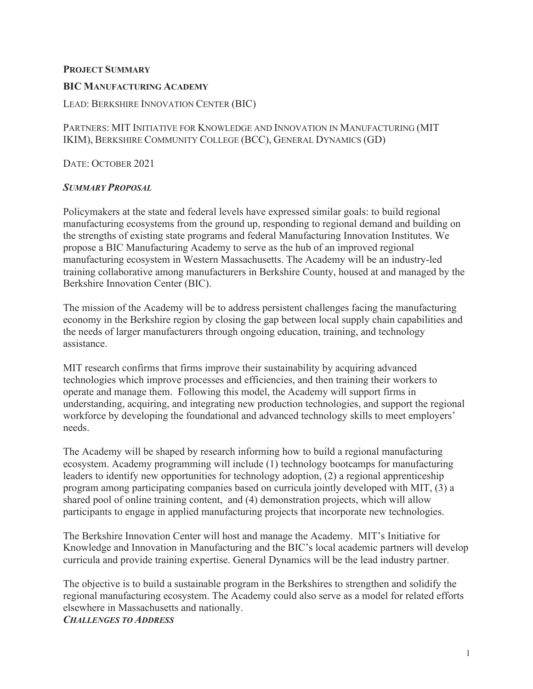### **PROJECT SUMMARY**

#### **BIC MANUFACTURING ACADEMY**

### LEAD: BERKSHIRE INNOVATION CENTER (BIC)

PARTNERS: MIT INITIATIVE FOR KNOWLEDGE AND INNOVATION IN MANUFACTURING (MIT IKIM), BERKSHIRE COMMUNITY COLLEGE (BCC), GENERAL DYNAMICS (GD)

DATE: OCTOBER 2021

#### *SUMMARY PROPOSAL*

Policymakers at the state and federal levels have expressed similar goals: to build regional manufacturing ecosystems from the ground up, responding to regional demand and building on the strengths of existing state programs and federal Manufacturing Innovation Institutes. We propose a BIC Manufacturing Academy to serve as the hub of an improved regional manufacturing ecosystem in Western Massachusetts. The Academy will be an industry-led training collaborative among manufacturers in Berkshire County, housed at and managed by the Berkshire Innovation Center (BIC).

The mission of the Academy will be to address persistent challenges facing the manufacturing economy in the Berkshire region by closing the gap between local supply chain capabilities and the needs of larger manufacturers through ongoing education, training, and technology assistance.

MIT research confirms that firms improve their sustainability by acquiring advanced technologies which improve processes and efficiencies, and then training their workers to operate and manage them. Following this model, the Academy will support firms in understanding, acquiring, and integrating new production technologies, and support the regional workforce by developing the foundational and advanced technology skills to meet employers' needs.

The Academy will be shaped by research informing how to build a regional manufacturing ecosystem. Academy programming will include (1) technology bootcamps for manufacturing leaders to identify new opportunities for technology adoption, (2) a regional apprenticeship program among participating companies based on curricula jointly developed with MIT, (3) a shared pool of online training content, and (4) demonstration projects, which will allow participants to engage in applied manufacturing projects that incorporate new technologies.

The Berkshire Innovation Center will host and manage the Academy. MIT's Initiative for Knowledge and Innovation in Manufacturing and the BIC's local academic partners will develop curricula and provide training expertise. General Dynamics will be the lead industry partner.

The objective is to build a sustainable program in the Berkshires to strengthen and solidify the regional manufacturing ecosystem. The Academy could also serve as a model for related efforts elsewhere in Massachusetts and nationally. *CHALLENGES TO ADDRESS*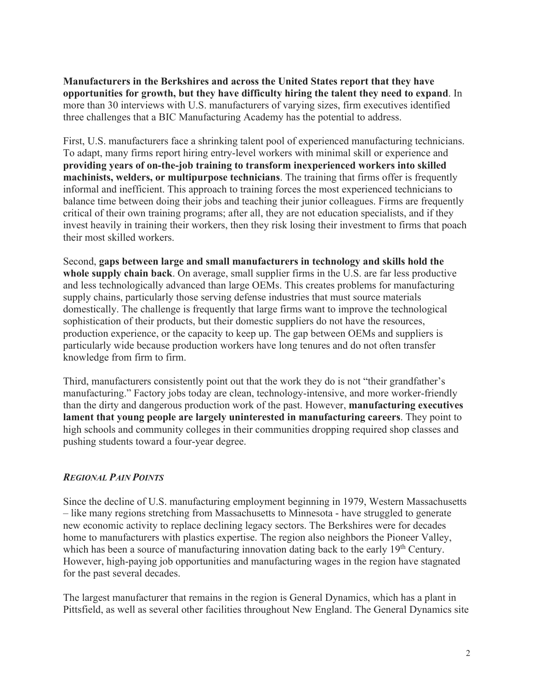**Manufacturers in the Berkshires and across the United States report that they have opportunities for growth, but they have difficulty hiring the talent they need to expand**. In more than 30 interviews with U.S. manufacturers of varying sizes, firm executives identified three challenges that a BIC Manufacturing Academy has the potential to address.

First, U.S. manufacturers face a shrinking talent pool of experienced manufacturing technicians. To adapt, many firms report hiring entry-level workers with minimal skill or experience and **providing years of on-the-job training to transform inexperienced workers into skilled machinists, welders, or multipurpose technicians**. The training that firms offer is frequently informal and inefficient. This approach to training forces the most experienced technicians to balance time between doing their jobs and teaching their junior colleagues. Firms are frequently critical of their own training programs; after all, they are not education specialists, and if they invest heavily in training their workers, then they risk losing their investment to firms that poach their most skilled workers.

Second, **gaps between large and small manufacturers in technology and skills hold the whole supply chain back**. On average, small supplier firms in the U.S. are far less productive and less technologically advanced than large OEMs. This creates problems for manufacturing supply chains, particularly those serving defense industries that must source materials domestically. The challenge is frequently that large firms want to improve the technological sophistication of their products, but their domestic suppliers do not have the resources, production experience, or the capacity to keep up. The gap between OEMs and suppliers is particularly wide because production workers have long tenures and do not often transfer knowledge from firm to firm.

Third, manufacturers consistently point out that the work they do is not "their grandfather's manufacturing." Factory jobs today are clean, technology-intensive, and more worker-friendly than the dirty and dangerous production work of the past. However, **manufacturing executives lament that young people are largely uninterested in manufacturing careers**. They point to high schools and community colleges in their communities dropping required shop classes and pushing students toward a four-year degree.

## *REGIONAL PAIN POINTS*

Since the decline of U.S. manufacturing employment beginning in 1979, Western Massachusetts – like many regions stretching from Massachusetts to Minnesota - have struggled to generate new economic activity to replace declining legacy sectors. The Berkshires were for decades home to manufacturers with plastics expertise. The region also neighbors the Pioneer Valley, which has been a source of manufacturing innovation dating back to the early  $19<sup>th</sup>$  Century. However, high-paying job opportunities and manufacturing wages in the region have stagnated for the past several decades.

The largest manufacturer that remains in the region is General Dynamics, which has a plant in Pittsfield, as well as several other facilities throughout New England. The General Dynamics site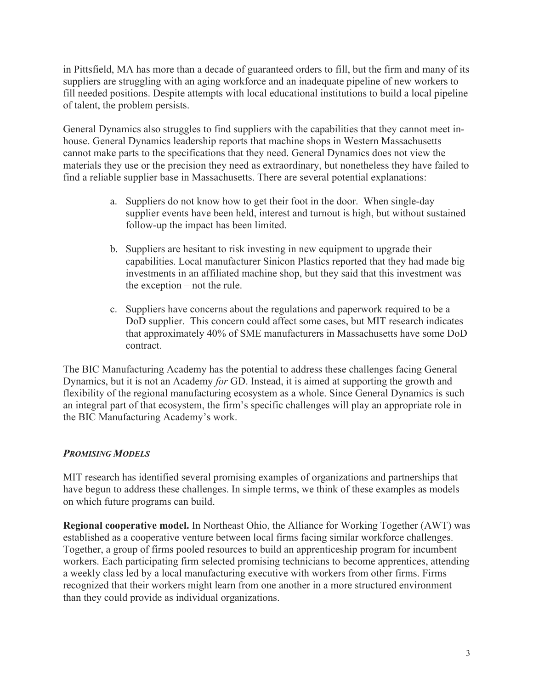in Pittsfield, MA has more than a decade of guaranteed orders to fill, but the firm and many of its suppliers are struggling with an aging workforce and an inadequate pipeline of new workers to fill needed positions. Despite attempts with local educational institutions to build a local pipeline of talent, the problem persists.

General Dynamics also struggles to find suppliers with the capabilities that they cannot meet inhouse. General Dynamics leadership reports that machine shops in Western Massachusetts cannot make parts to the specifications that they need. General Dynamics does not view the materials they use or the precision they need as extraordinary, but nonetheless they have failed to find a reliable supplier base in Massachusetts. There are several potential explanations:

- a. Suppliers do not know how to get their foot in the door. When single-day supplier events have been held, interest and turnout is high, but without sustained follow-up the impact has been limited.
- b. Suppliers are hesitant to risk investing in new equipment to upgrade their capabilities. Local manufacturer Sinicon Plastics reported that they had made big investments in an affiliated machine shop, but they said that this investment was the exception – not the rule.
- c. Suppliers have concerns about the regulations and paperwork required to be a DoD supplier. This concern could affect some cases, but MIT research indicates that approximately 40% of SME manufacturers in Massachusetts have some DoD contract.

The BIC Manufacturing Academy has the potential to address these challenges facing General Dynamics, but it is not an Academy *for* GD. Instead, it is aimed at supporting the growth and flexibility of the regional manufacturing ecosystem as a whole. Since General Dynamics is such an integral part of that ecosystem, the firm's specific challenges will play an appropriate role in the BIC Manufacturing Academy's work.

## *PROMISING MODELS*

MIT research has identified several promising examples of organizations and partnerships that have begun to address these challenges. In simple terms, we think of these examples as models on which future programs can build.

**Regional cooperative model.** In Northeast Ohio, the Alliance for Working Together (AWT) was established as a cooperative venture between local firms facing similar workforce challenges. Together, a group of firms pooled resources to build an apprenticeship program for incumbent workers. Each participating firm selected promising technicians to become apprentices, attending a weekly class led by a local manufacturing executive with workers from other firms. Firms recognized that their workers might learn from one another in a more structured environment than they could provide as individual organizations.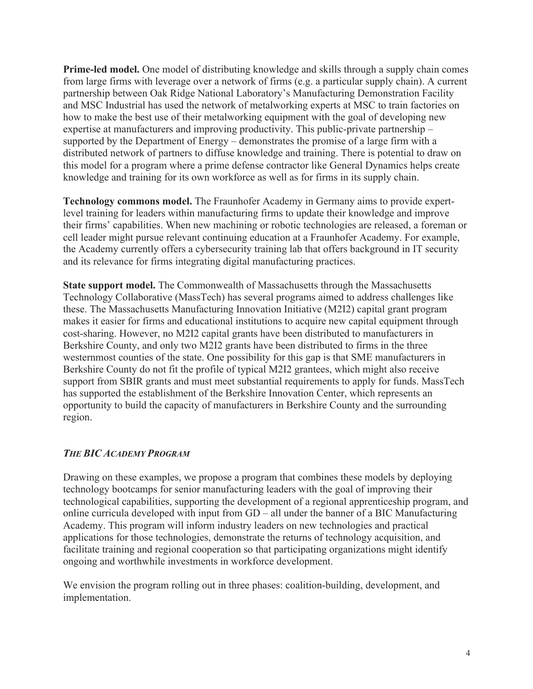**Prime-led model.** One model of distributing knowledge and skills through a supply chain comes from large firms with leverage over a network of firms (e.g. a particular supply chain). A current partnership between Oak Ridge National Laboratory's Manufacturing Demonstration Facility and MSC Industrial has used the network of metalworking experts at MSC to train factories on how to make the best use of their metalworking equipment with the goal of developing new expertise at manufacturers and improving productivity. This public-private partnership – supported by the Department of Energy – demonstrates the promise of a large firm with a distributed network of partners to diffuse knowledge and training. There is potential to draw on this model for a program where a prime defense contractor like General Dynamics helps create knowledge and training for its own workforce as well as for firms in its supply chain.

**Technology commons model.** The Fraunhofer Academy in Germany aims to provide expertlevel training for leaders within manufacturing firms to update their knowledge and improve their firms' capabilities. When new machining or robotic technologies are released, a foreman or cell leader might pursue relevant continuing education at a Fraunhofer Academy. For example, the Academy currently offers a cybersecurity training lab that offers background in IT security and its relevance for firms integrating digital manufacturing practices.

**State support model.** The Commonwealth of Massachusetts through the Massachusetts Technology Collaborative (MassTech) has several programs aimed to address challenges like these. The Massachusetts Manufacturing Innovation Initiative (M2I2) capital grant program makes it easier for firms and educational institutions to acquire new capital equipment through cost-sharing. However, no M2I2 capital grants have been distributed to manufacturers in Berkshire County, and only two M2I2 grants have been distributed to firms in the three westernmost counties of the state. One possibility for this gap is that SME manufacturers in Berkshire County do not fit the profile of typical M2I2 grantees, which might also receive support from SBIR grants and must meet substantial requirements to apply for funds. MassTech has supported the establishment of the Berkshire Innovation Center, which represents an opportunity to build the capacity of manufacturers in Berkshire County and the surrounding region.

#### *THE BIC ACADEMY PROGRAM*

Drawing on these examples, we propose a program that combines these models by deploying technology bootcamps for senior manufacturing leaders with the goal of improving their technological capabilities, supporting the development of a regional apprenticeship program, and online curricula developed with input from GD – all under the banner of a BIC Manufacturing Academy. This program will inform industry leaders on new technologies and practical applications for those technologies, demonstrate the returns of technology acquisition, and facilitate training and regional cooperation so that participating organizations might identify ongoing and worthwhile investments in workforce development.

We envision the program rolling out in three phases: coalition-building, development, and implementation.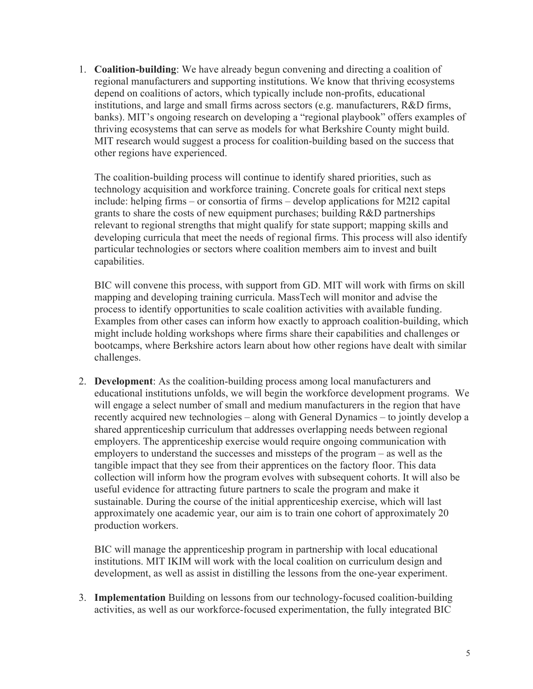1. **Coalition-building**: We have already begun convening and directing a coalition of regional manufacturers and supporting institutions. We know that thriving ecosystems depend on coalitions of actors, which typically include non-profits, educational institutions, and large and small firms across sectors (e.g. manufacturers, R&D firms, banks). MIT's ongoing research on developing a "regional playbook" offers examples of thriving ecosystems that can serve as models for what Berkshire County might build. MIT research would suggest a process for coalition-building based on the success that other regions have experienced.

The coalition-building process will continue to identify shared priorities, such as technology acquisition and workforce training. Concrete goals for critical next steps include: helping firms – or consortia of firms – develop applications for M2I2 capital grants to share the costs of new equipment purchases; building R&D partnerships relevant to regional strengths that might qualify for state support; mapping skills and developing curricula that meet the needs of regional firms. This process will also identify particular technologies or sectors where coalition members aim to invest and built capabilities.

BIC will convene this process, with support from GD. MIT will work with firms on skill mapping and developing training curricula. MassTech will monitor and advise the process to identify opportunities to scale coalition activities with available funding. Examples from other cases can inform how exactly to approach coalition-building, which might include holding workshops where firms share their capabilities and challenges or bootcamps, where Berkshire actors learn about how other regions have dealt with similar challenges.

2. **Development**: As the coalition-building process among local manufacturers and educational institutions unfolds, we will begin the workforce development programs. We will engage a select number of small and medium manufacturers in the region that have recently acquired new technologies – along with General Dynamics – to jointly develop a shared apprenticeship curriculum that addresses overlapping needs between regional employers. The apprenticeship exercise would require ongoing communication with employers to understand the successes and missteps of the program – as well as the tangible impact that they see from their apprentices on the factory floor. This data collection will inform how the program evolves with subsequent cohorts. It will also be useful evidence for attracting future partners to scale the program and make it sustainable. During the course of the initial apprenticeship exercise, which will last approximately one academic year, our aim is to train one cohort of approximately 20 production workers.

BIC will manage the apprenticeship program in partnership with local educational institutions. MIT IKIM will work with the local coalition on curriculum design and development, as well as assist in distilling the lessons from the one-year experiment.

3. **Implementation** Building on lessons from our technology-focused coalition-building activities, as well as our workforce-focused experimentation, the fully integrated BIC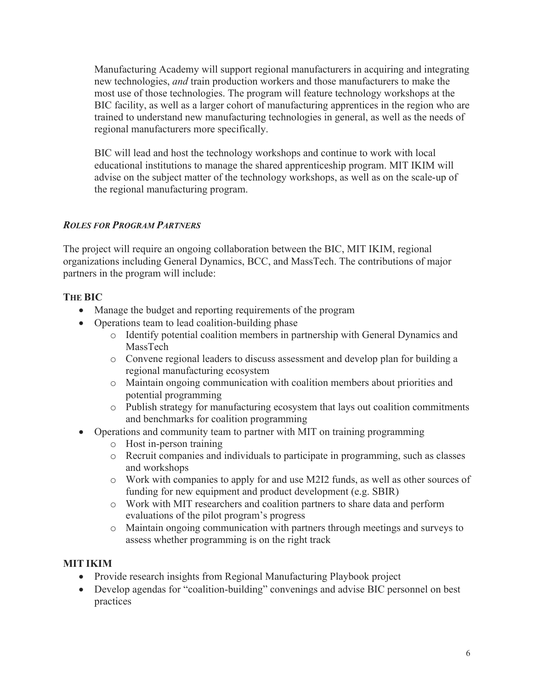Manufacturing Academy will support regional manufacturers in acquiring and integrating new technologies, *and* train production workers and those manufacturers to make the most use of those technologies. The program will feature technology workshops at the BIC facility, as well as a larger cohort of manufacturing apprentices in the region who are trained to understand new manufacturing technologies in general, as well as the needs of regional manufacturers more specifically.

BIC will lead and host the technology workshops and continue to work with local educational institutions to manage the shared apprenticeship program. MIT IKIM will advise on the subject matter of the technology workshops, as well as on the scale-up of the regional manufacturing program.

# *ROLES FOR PROGRAM PARTNERS*

The project will require an ongoing collaboration between the BIC, MIT IKIM, regional organizations including General Dynamics, BCC, and MassTech. The contributions of major partners in the program will include:

# **THE BIC**

- Manage the budget and reporting requirements of the program
- Operations team to lead coalition-building phase
	- o Identify potential coalition members in partnership with General Dynamics and MassTech
	- o Convene regional leaders to discuss assessment and develop plan for building a regional manufacturing ecosystem
	- o Maintain ongoing communication with coalition members about priorities and potential programming
	- o Publish strategy for manufacturing ecosystem that lays out coalition commitments and benchmarks for coalition programming
- Operations and community team to partner with MIT on training programming
	- o Host in-person training
	- o Recruit companies and individuals to participate in programming, such as classes and workshops
	- o Work with companies to apply for and use M2I2 funds, as well as other sources of funding for new equipment and product development (e.g. SBIR)
	- o Work with MIT researchers and coalition partners to share data and perform evaluations of the pilot program's progress
	- o Maintain ongoing communication with partners through meetings and surveys to assess whether programming is on the right track

# **MIT IKIM**

- Provide research insights from Regional Manufacturing Playbook project
- Develop agendas for "coalition-building" convenings and advise BIC personnel on best practices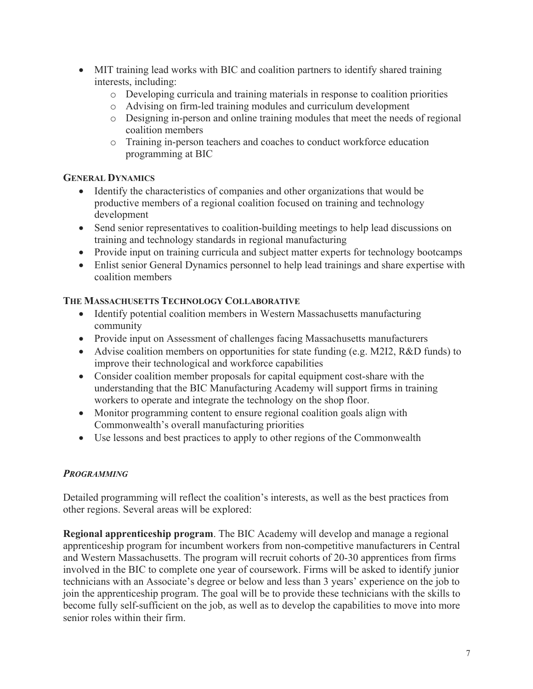- MIT training lead works with BIC and coalition partners to identify shared training interests, including:
	- o Developing curricula and training materials in response to coalition priorities
	- o Advising on firm-led training modules and curriculum development
	- o Designing in-person and online training modules that meet the needs of regional coalition members
	- o Training in-person teachers and coaches to conduct workforce education programming at BIC

### **GENERAL DYNAMICS**

- Identify the characteristics of companies and other organizations that would be productive members of a regional coalition focused on training and technology development
- Send senior representatives to coalition-building meetings to help lead discussions on training and technology standards in regional manufacturing
- Provide input on training curricula and subject matter experts for technology bootcamps
- Enlist senior General Dynamics personnel to help lead trainings and share expertise with coalition members

### **THE MASSACHUSETTS TECHNOLOGY COLLABORATIVE**

- Identify potential coalition members in Western Massachusetts manufacturing community
- Provide input on Assessment of challenges facing Massachusetts manufacturers
- Advise coalition members on opportunities for state funding (e.g. M2I2, R&D funds) to improve their technological and workforce capabilities
- Consider coalition member proposals for capital equipment cost-share with the understanding that the BIC Manufacturing Academy will support firms in training workers to operate and integrate the technology on the shop floor.
- Monitor programming content to ensure regional coalition goals align with Commonwealth's overall manufacturing priorities
- Use lessons and best practices to apply to other regions of the Commonwealth

## *PROGRAMMING*

Detailed programming will reflect the coalition's interests, as well as the best practices from other regions. Several areas will be explored:

**Regional apprenticeship program**. The BIC Academy will develop and manage a regional apprenticeship program for incumbent workers from non-competitive manufacturers in Central and Western Massachusetts. The program will recruit cohorts of 20-30 apprentices from firms involved in the BIC to complete one year of coursework. Firms will be asked to identify junior technicians with an Associate's degree or below and less than 3 years' experience on the job to join the apprenticeship program. The goal will be to provide these technicians with the skills to become fully self-sufficient on the job, as well as to develop the capabilities to move into more senior roles within their firm.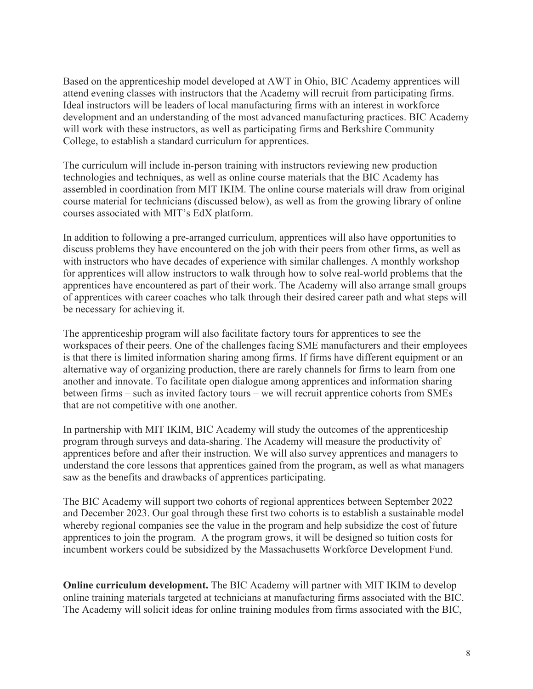Based on the apprenticeship model developed at AWT in Ohio, BIC Academy apprentices will attend evening classes with instructors that the Academy will recruit from participating firms. Ideal instructors will be leaders of local manufacturing firms with an interest in workforce development and an understanding of the most advanced manufacturing practices. BIC Academy will work with these instructors, as well as participating firms and Berkshire Community College, to establish a standard curriculum for apprentices.

The curriculum will include in-person training with instructors reviewing new production technologies and techniques, as well as online course materials that the BIC Academy has assembled in coordination from MIT IKIM. The online course materials will draw from original course material for technicians (discussed below), as well as from the growing library of online courses associated with MIT's EdX platform.

In addition to following a pre-arranged curriculum, apprentices will also have opportunities to discuss problems they have encountered on the job with their peers from other firms, as well as with instructors who have decades of experience with similar challenges. A monthly workshop for apprentices will allow instructors to walk through how to solve real-world problems that the apprentices have encountered as part of their work. The Academy will also arrange small groups of apprentices with career coaches who talk through their desired career path and what steps will be necessary for achieving it.

The apprenticeship program will also facilitate factory tours for apprentices to see the workspaces of their peers. One of the challenges facing SME manufacturers and their employees is that there is limited information sharing among firms. If firms have different equipment or an alternative way of organizing production, there are rarely channels for firms to learn from one another and innovate. To facilitate open dialogue among apprentices and information sharing between firms – such as invited factory tours – we will recruit apprentice cohorts from SMEs that are not competitive with one another.

In partnership with MIT IKIM, BIC Academy will study the outcomes of the apprenticeship program through surveys and data-sharing. The Academy will measure the productivity of apprentices before and after their instruction. We will also survey apprentices and managers to understand the core lessons that apprentices gained from the program, as well as what managers saw as the benefits and drawbacks of apprentices participating.

The BIC Academy will support two cohorts of regional apprentices between September 2022 and December 2023. Our goal through these first two cohorts is to establish a sustainable model whereby regional companies see the value in the program and help subsidize the cost of future apprentices to join the program. A the program grows, it will be designed so tuition costs for incumbent workers could be subsidized by the Massachusetts Workforce Development Fund.

**Online curriculum development.** The BIC Academy will partner with MIT IKIM to develop online training materials targeted at technicians at manufacturing firms associated with the BIC. The Academy will solicit ideas for online training modules from firms associated with the BIC,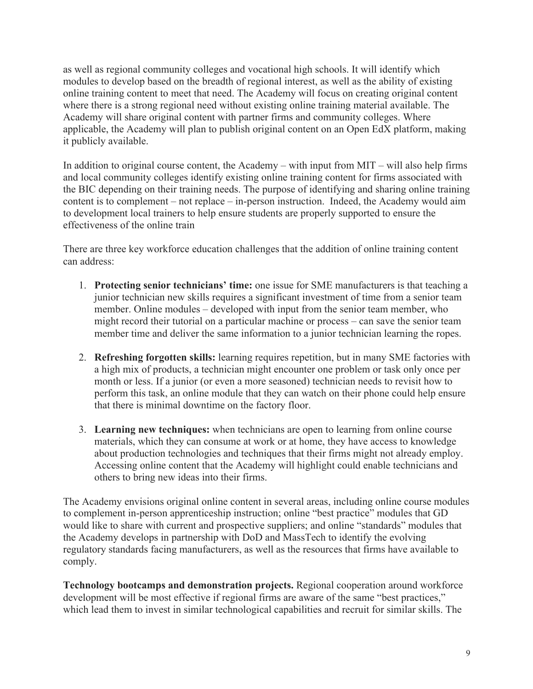as well as regional community colleges and vocational high schools. It will identify which modules to develop based on the breadth of regional interest, as well as the ability of existing online training content to meet that need. The Academy will focus on creating original content where there is a strong regional need without existing online training material available. The Academy will share original content with partner firms and community colleges. Where applicable, the Academy will plan to publish original content on an Open EdX platform, making it publicly available.

In addition to original course content, the Academy – with input from MIT – will also help firms and local community colleges identify existing online training content for firms associated with the BIC depending on their training needs. The purpose of identifying and sharing online training content is to complement – not replace – in-person instruction. Indeed, the Academy would aim to development local trainers to help ensure students are properly supported to ensure the effectiveness of the online train

There are three key workforce education challenges that the addition of online training content can address:

- 1. **Protecting senior technicians' time:** one issue for SME manufacturers is that teaching a junior technician new skills requires a significant investment of time from a senior team member. Online modules – developed with input from the senior team member, who might record their tutorial on a particular machine or process – can save the senior team member time and deliver the same information to a junior technician learning the ropes.
- 2. **Refreshing forgotten skills:** learning requires repetition, but in many SME factories with a high mix of products, a technician might encounter one problem or task only once per month or less. If a junior (or even a more seasoned) technician needs to revisit how to perform this task, an online module that they can watch on their phone could help ensure that there is minimal downtime on the factory floor.
- 3. **Learning new techniques:** when technicians are open to learning from online course materials, which they can consume at work or at home, they have access to knowledge about production technologies and techniques that their firms might not already employ. Accessing online content that the Academy will highlight could enable technicians and others to bring new ideas into their firms.

The Academy envisions original online content in several areas, including online course modules to complement in-person apprenticeship instruction; online "best practice" modules that GD would like to share with current and prospective suppliers; and online "standards" modules that the Academy develops in partnership with DoD and MassTech to identify the evolving regulatory standards facing manufacturers, as well as the resources that firms have available to comply.

**Technology bootcamps and demonstration projects.** Regional cooperation around workforce development will be most effective if regional firms are aware of the same "best practices," which lead them to invest in similar technological capabilities and recruit for similar skills. The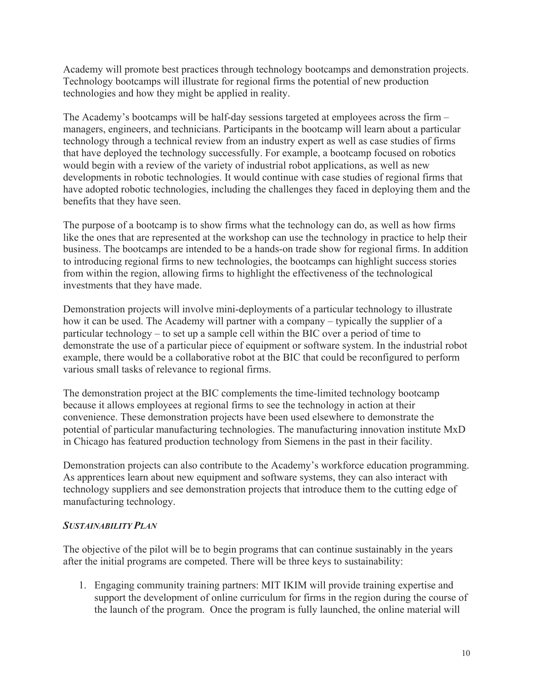Academy will promote best practices through technology bootcamps and demonstration projects. Technology bootcamps will illustrate for regional firms the potential of new production technologies and how they might be applied in reality.

The Academy's bootcamps will be half-day sessions targeted at employees across the firm – managers, engineers, and technicians. Participants in the bootcamp will learn about a particular technology through a technical review from an industry expert as well as case studies of firms that have deployed the technology successfully. For example, a bootcamp focused on robotics would begin with a review of the variety of industrial robot applications, as well as new developments in robotic technologies. It would continue with case studies of regional firms that have adopted robotic technologies, including the challenges they faced in deploying them and the benefits that they have seen.

The purpose of a bootcamp is to show firms what the technology can do, as well as how firms like the ones that are represented at the workshop can use the technology in practice to help their business. The bootcamps are intended to be a hands-on trade show for regional firms. In addition to introducing regional firms to new technologies, the bootcamps can highlight success stories from within the region, allowing firms to highlight the effectiveness of the technological investments that they have made.

Demonstration projects will involve mini-deployments of a particular technology to illustrate how it can be used. The Academy will partner with a company – typically the supplier of a particular technology – to set up a sample cell within the BIC over a period of time to demonstrate the use of a particular piece of equipment or software system. In the industrial robot example, there would be a collaborative robot at the BIC that could be reconfigured to perform various small tasks of relevance to regional firms.

The demonstration project at the BIC complements the time-limited technology bootcamp because it allows employees at regional firms to see the technology in action at their convenience. These demonstration projects have been used elsewhere to demonstrate the potential of particular manufacturing technologies. The manufacturing innovation institute MxD in Chicago has featured production technology from Siemens in the past in their facility.

Demonstration projects can also contribute to the Academy's workforce education programming. As apprentices learn about new equipment and software systems, they can also interact with technology suppliers and see demonstration projects that introduce them to the cutting edge of manufacturing technology.

## *SUSTAINABILITY PLAN*

The objective of the pilot will be to begin programs that can continue sustainably in the years after the initial programs are competed. There will be three keys to sustainability:

1. Engaging community training partners: MIT IKIM will provide training expertise and support the development of online curriculum for firms in the region during the course of the launch of the program. Once the program is fully launched, the online material will